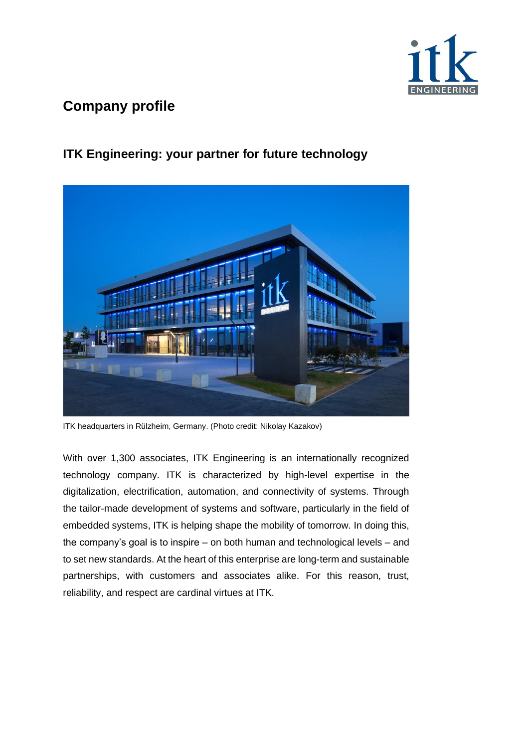

### **ITK Engineering: your partner for future technology**



ITK headquarters in Rülzheim, Germany. (Photo credit: Nikolay Kazakov)

With over 1,300 associates, ITK Engineering is an internationally recognized technology company. ITK is characterized by high-level expertise in the digitalization, electrification, automation, and connectivity of systems. Through the tailor-made development of systems and software, particularly in the field of embedded systems, ITK is helping shape the mobility of tomorrow. In doing this, the company's goal is to inspire – on both human and technological levels – and to set new standards. At the heart of this enterprise are long-term and sustainable partnerships, with customers and associates alike. For this reason, trust, reliability, and respect are cardinal virtues at ITK.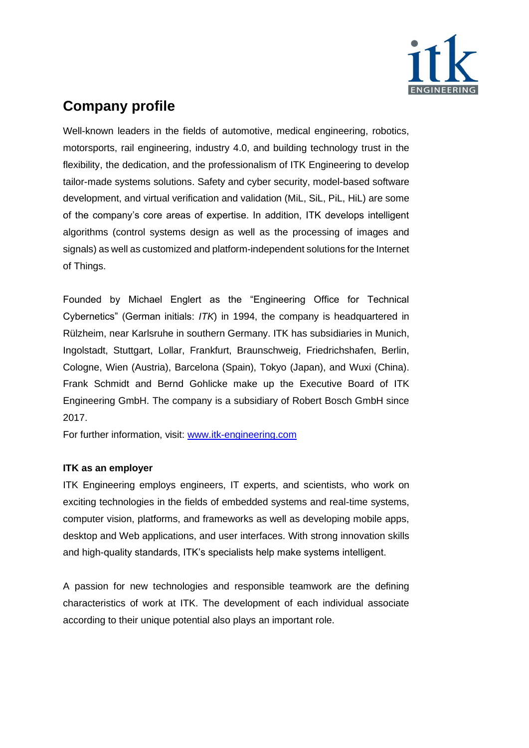

Well-known leaders in the fields of automotive, medical engineering, robotics, motorsports, rail engineering, industry 4.0, and building technology trust in the flexibility, the dedication, and the professionalism of ITK Engineering to develop tailor-made systems solutions. Safety and cyber security, model-based software development, and virtual verification and validation (MiL, SiL, PiL, HiL) are some of the company's core areas of expertise. In addition, ITK develops intelligent algorithms (control systems design as well as the processing of images and signals) as well as customized and platform-independent solutions for the Internet of Things.

Founded by Michael Englert as the "Engineering Office for Technical Cybernetics" (German initials: *ITK*) in 1994, the company is headquartered in Rülzheim, near Karlsruhe in southern Germany. ITK has subsidiaries in Munich, Ingolstadt, Stuttgart, Lollar, Frankfurt, Braunschweig, Friedrichshafen, Berlin, Cologne, Wien (Austria), Barcelona (Spain), Tokyo (Japan), and Wuxi (China). Frank Schmidt and Bernd Gohlicke make up the Executive Board of ITK Engineering GmbH. The company is a subsidiary of Robert Bosch GmbH since 2017.

For further information, visit: [www.itk-engineering.com](http://www.itk-engineering.com/)

#### **ITK as an employer**

ITK Engineering employs engineers, IT experts, and scientists, who work on exciting technologies in the fields of embedded systems and real-time systems, computer vision, platforms, and frameworks as well as developing mobile apps, desktop and Web applications, and user interfaces. With strong innovation skills and high-quality standards, ITK's specialists help make systems intelligent.

A passion for new technologies and responsible teamwork are the defining characteristics of work at ITK. The development of each individual associate according to their unique potential also plays an important role.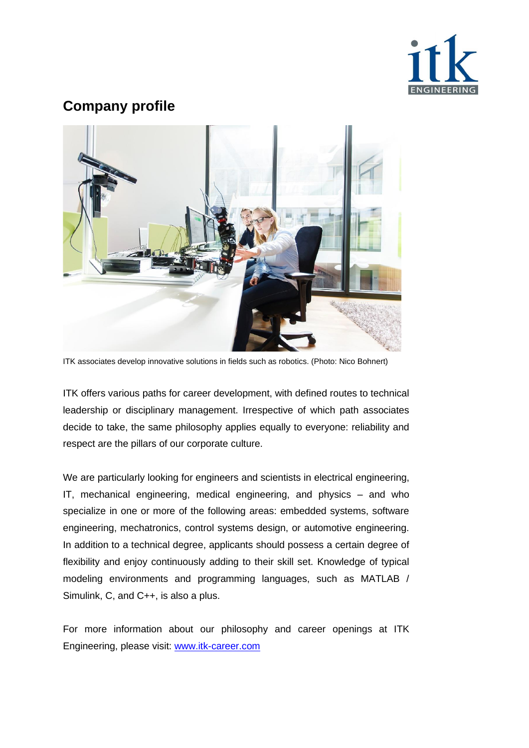



ITK associates develop innovative solutions in fields such as robotics. (Photo: Nico Bohnert)

ITK offers various paths for career development, with defined routes to technical leadership or disciplinary management. Irrespective of which path associates decide to take, the same philosophy applies equally to everyone: reliability and respect are the pillars of our corporate culture.

We are particularly looking for engineers and scientists in electrical engineering, IT, mechanical engineering, medical engineering, and physics – and who specialize in one or more of the following areas: embedded systems, software engineering, mechatronics, control systems design, or automotive engineering. In addition to a technical degree, applicants should possess a certain degree of flexibility and enjoy continuously adding to their skill set. Knowledge of typical modeling environments and programming languages, such as MATLAB / Simulink, C, and C++, is also a plus.

For more information about our philosophy and career openings at ITK Engineering, please visit: [www.itk-career.com](http://www.itk-career.com/)